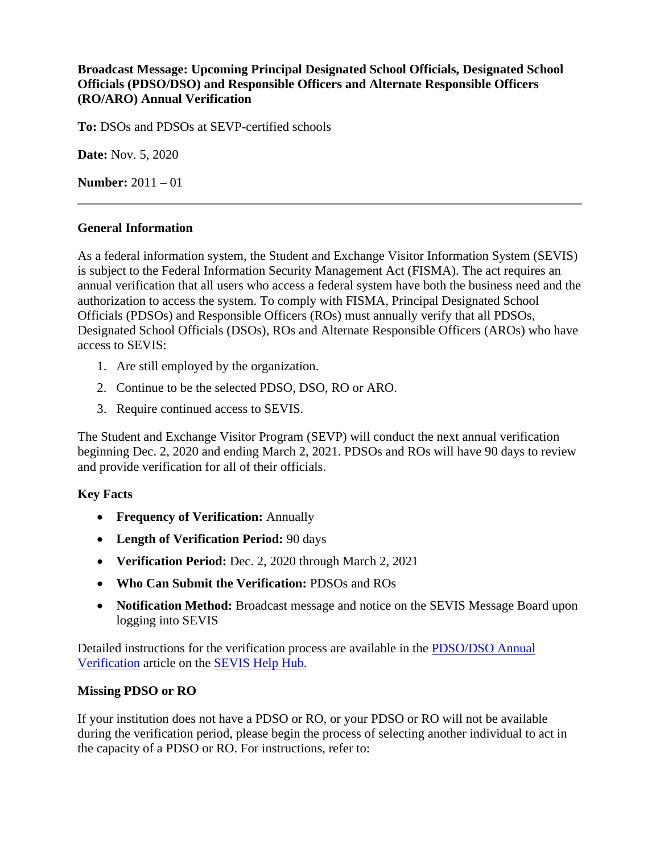# **Broadcast Message: Upcoming Principal Designated School Officials, Designated School Officials (PDSO/DSO) and Responsible Officers and Alternate Responsible Officers (RO/ARO) Annual Verification**

**To:** DSOs and PDSOs at SEVP-certified schools

**Date:** Nov. 5, 2020

**Number:** 2011 – 01

#### **General Information**

As a federal information system, the Student and Exchange Visitor Information System (SEVIS) is subject to the Federal Information Security Management Act (FISMA). The act requires an annual verification that all users who access a federal system have both the business need and the authorization to access the system. To comply with FISMA, Principal Designated School Officials (PDSOs) and Responsible Officers (ROs) must annually verify that all PDSOs, Designated School Officials (DSOs), ROs and Alternate Responsible Officers (AROs) who have access to SEVIS:

- 1. Are still employed by the organization.
- 2. Continue to be the selected PDSO, DSO, RO or ARO.
- 3. Require continued access to SEVIS.

The Student and Exchange Visitor Program (SEVP) will conduct the next annual verification beginning Dec. 2, 2020 and ending March 2, 2021. PDSOs and ROs will have 90 days to review and provide verification for all of their officials.

# **Key Facts**

- **Frequency of Verification:** Annually
- **Length of Verification Period:** 90 days
- **Verification Period:** Dec. 2, 2020 through March 2, 2021
- **Who Can Submit the Verification:** PDSOs and ROs
- **Notification Method:** Broadcast message and notice on the SEVIS Message Board upon logging into SEVIS

Detailed instructions for the verification process are available in the [PDSO/DSO Annual](https://studyinthestates.dhs.gov/sevis-help-hub/school-records/pdsodso-annual-verification)  [Verification](https://studyinthestates.dhs.gov/sevis-help-hub/school-records/pdsodso-annual-verification) article on the [SEVIS Help Hub.](https://studyinthestates.dhs.gov/sevis-help-hub)

# **Missing PDSO or RO**

If your institution does not have a PDSO or RO, or your PDSO or RO will not be available during the verification period, please begin the process of selecting another individual to act in the capacity of a PDSO or RO. For instructions, refer to: